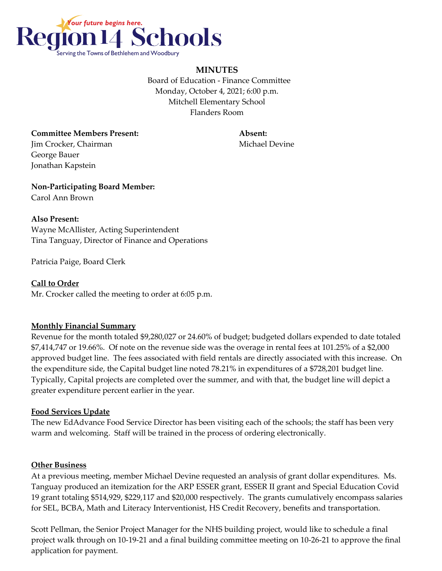

# **MINUTES**

 Board of Education - Finance Committee Monday, October 4, 2021; 6:00 p.m. Mitchell Elementary School Flanders Room

**Committee Members Present: Absent: Jim Crocker, Chairman Michael Devine** George Bauer Jonathan Kapstein

**Non-Participating Board Member:** Carol Ann Brown

#### **Also Present:**

Wayne McAllister, Acting Superintendent Tina Tanguay, Director of Finance and Operations

Patricia Paige, Board Clerk

**Call to Order** Mr. Crocker called the meeting to order at 6:05 p.m.

# **Monthly Financial Summary**

Revenue for the month totaled \$9,280,027 or 24.60% of budget; budgeted dollars expended to date totaled \$7,414,747 or 19.66%. Of note on the revenue side was the overage in rental fees at 101.25% of a \$2,000 approved budget line. The fees associated with field rentals are directly associated with this increase. On the expenditure side, the Capital budget line noted 78.21% in expenditures of a \$728,201 budget line. Typically, Capital projects are completed over the summer, and with that, the budget line will depict a greater expenditure percent earlier in the year.

# **Food Services Update**

The new EdAdvance Food Service Director has been visiting each of the schools; the staff has been very warm and welcoming. Staff will be trained in the process of ordering electronically.

# **Other Business**

At a previous meeting, member Michael Devine requested an analysis of grant dollar expenditures. Ms. Tanguay produced an itemization for the ARP ESSER grant, ESSER II grant and Special Education Covid 19 grant totaling \$514,929, \$229,117 and \$20,000 respectively. The grants cumulatively encompass salaries for SEL, BCBA, Math and Literacy Interventionist, HS Credit Recovery, benefits and transportation.

Scott Pellman, the Senior Project Manager for the NHS building project, would like to schedule a final project walk through on 10-19-21 and a final building committee meeting on 10-26-21 to approve the final application for payment.